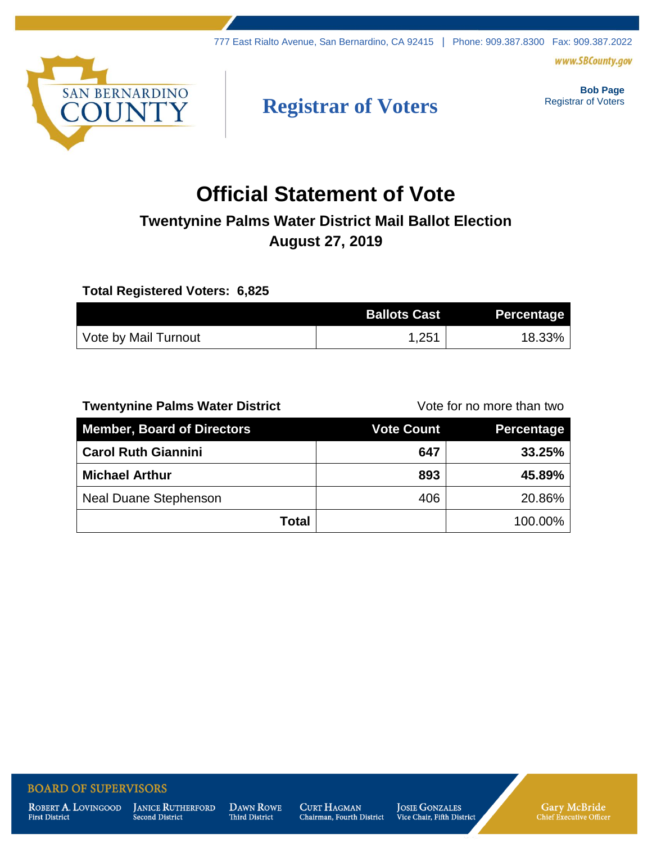www.SBCounty.gov



# **Registrar of Voters**

**Bob Page** Registrar of Voters

# **Official Statement of Vote**

# **Twentynine Palms Water District Mail Ballot Election August 27, 2019**

### **Total Registered Voters: 6,825**

|                      | <b>Ballots Cast</b> | Percentage |
|----------------------|---------------------|------------|
| Vote by Mail Turnout | ,251                | 18.33%     |

## **Twentynine Palms Water District** Twentynine Palms Water District

| <b>Member, Board of Directors</b> | <b>Vote Count</b> | Percentage |
|-----------------------------------|-------------------|------------|
| <b>Carol Ruth Giannini</b>        | 647               | 33.25%     |
| <b>Michael Arthur</b>             | 893               | 45.89%     |
| <b>Neal Duane Stephenson</b>      | 406               | 20.86%     |
| <b>Total</b>                      |                   | 100.00%    |

### **BOARD OF SUPERVISORS**

ROBERT A. LOVINGOOD **First District** 

**JANICE RUTHERFORD** Second District

**DAWN ROWE** Third District

**CURT HAGMAN** Chairman, Fourth District **JOSIE GONZALES** Vice Chair, Fifth District Gary McBride<br>Chief Executive Officer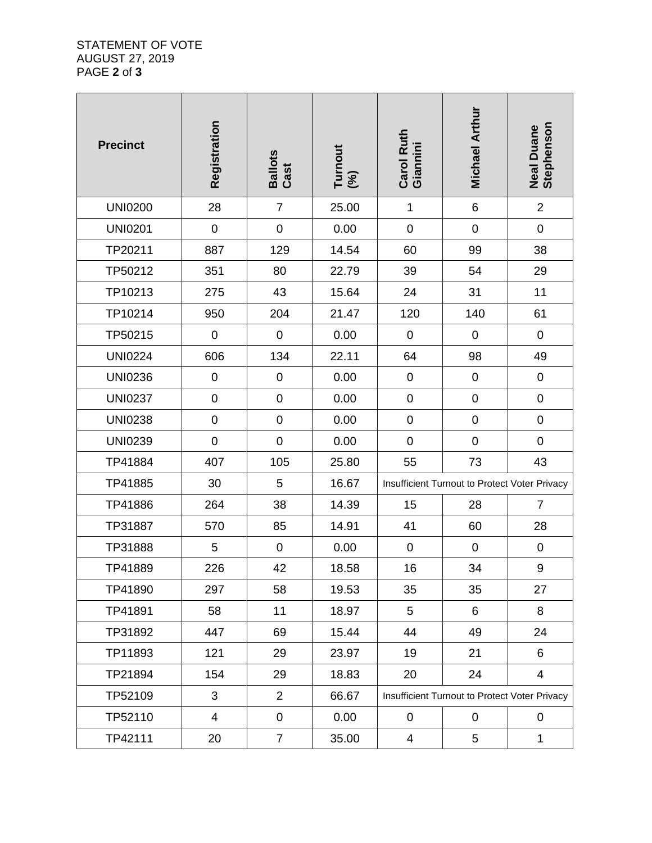#### STATEMENT OF VOTE AUGUST 27, 2019 PAGE **2** of **3**

| <b>Precinct</b> | Registration     | Ballots<br>Cast  | Turnout<br>(%) | Carol Ruth<br>Giannini                        | <b>Michael Arthur</b> | <b>Neal Duane<br/>Stephenson</b> |
|-----------------|------------------|------------------|----------------|-----------------------------------------------|-----------------------|----------------------------------|
| <b>UNI0200</b>  | 28               | $\overline{7}$   | 25.00          | $\mathbf 1$                                   | $6\phantom{1}$        | $\overline{2}$                   |
| <b>UNI0201</b>  | $\pmb{0}$        | $\boldsymbol{0}$ | 0.00           | $\mathbf 0$                                   | $\pmb{0}$             | $\pmb{0}$                        |
| TP20211         | 887              | 129              | 14.54          | 60                                            | 99                    | 38                               |
| TP50212         | 351              | 80               | 22.79          | 39                                            | 54                    | 29                               |
| TP10213         | 275              | 43               | 15.64          | 24                                            | 31                    | 11                               |
| TP10214         | 950              | 204              | 21.47          | 120                                           | 140                   | 61                               |
| TP50215         | $\boldsymbol{0}$ | $\pmb{0}$        | 0.00           | $\pmb{0}$                                     | $\pmb{0}$             | $\mathbf 0$                      |
| <b>UNI0224</b>  | 606              | 134              | 22.11          | 64                                            | 98                    | 49                               |
| <b>UNI0236</b>  | $\pmb{0}$        | $\boldsymbol{0}$ | 0.00           | $\pmb{0}$                                     | $\pmb{0}$             | $\pmb{0}$                        |
| <b>UNI0237</b>  | $\mathsf 0$      | $\boldsymbol{0}$ | 0.00           | $\pmb{0}$                                     | $\pmb{0}$             | $\pmb{0}$                        |
| <b>UNI0238</b>  | $\mathsf 0$      | $\pmb{0}$        | 0.00           | $\boldsymbol{0}$                              | $\pmb{0}$             | $\pmb{0}$                        |
| <b>UNI0239</b>  | $\mathbf 0$      | $\boldsymbol{0}$ | 0.00           | $\pmb{0}$                                     | $\pmb{0}$             | $\pmb{0}$                        |
| TP41884         | 407              | 105              | 25.80          | 55                                            | 73                    | 43                               |
| TP41885         | 30               | $\mathbf 5$      | 16.67          | Insufficient Turnout to Protect Voter Privacy |                       |                                  |
| TP41886         | 264              | 38               | 14.39          | 15                                            | 28                    | $\overline{7}$                   |
| TP31887         | 570              | 85               | 14.91          | 41                                            | 60                    | 28                               |
| TP31888         | 5                | $\pmb{0}$        | 0.00           | $\boldsymbol{0}$                              | $\pmb{0}$             | $\boldsymbol{0}$                 |
| TP41889         | 226              | 42               | 18.58          | 16                                            | 34                    | 9                                |
| TP41890         | 297              | 58               | 19.53          | 35                                            | 35                    | 27                               |
| TP41891         | 58               | 11               | 18.97          | 5                                             | 6                     | 8                                |
| TP31892         | 447              | 69               | 15.44          | 44                                            | 49                    | 24                               |
| TP11893         | 121              | 29               | 23.97          | 19                                            | 21                    | 6                                |
| TP21894         | 154              | 29               | 18.83          | 20                                            | 24                    | 4                                |
| TP52109         | 3                | $\overline{2}$   | 66.67          | Insufficient Turnout to Protect Voter Privacy |                       |                                  |
| TP52110         | $\overline{4}$   | $\pmb{0}$        | 0.00           | $\pmb{0}$                                     | $\pmb{0}$             | 0                                |
| TP42111         | 20               | $\overline{7}$   | 35.00          | 4                                             | 5                     | $\mathbf 1$                      |